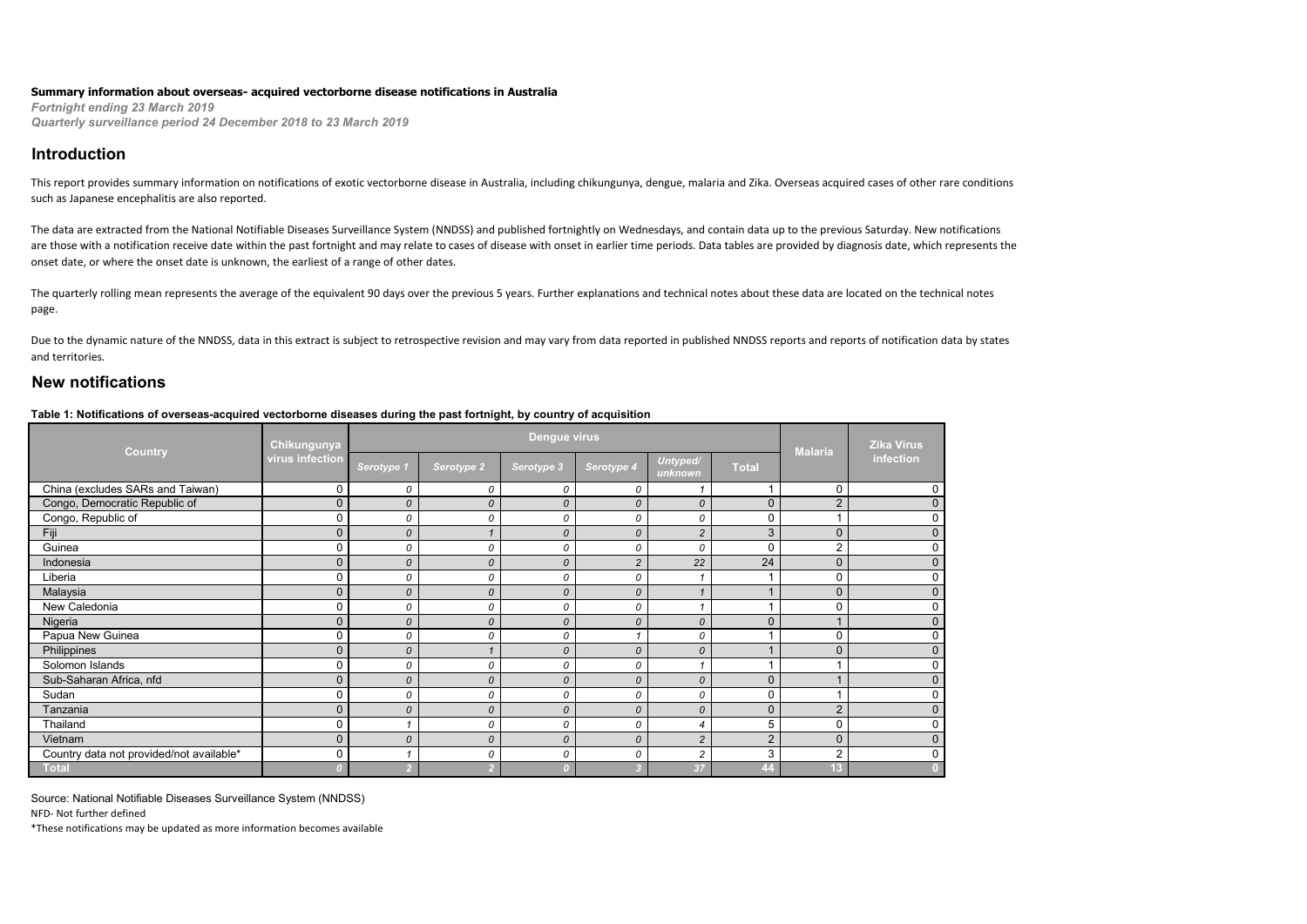#### **Summary information about overseas- acquired vectorborne disease notifications in Australia**

*Fortnight ending 23 March 2019 Quarterly surveillance period 24 December 2018 to 23 March 2019*

### **Introduction**

This report provides summary information on notifications of exotic vectorborne disease in Australia, including chikungunya, dengue, malaria and Zika. Overseas acquired cases of other rare conditions such as Japanese encephalitis are also reported.

The data are extracted from the National Notifiable Diseases Surveillance System (NNDSS) and published fortnightly on Wednesdays, and contain data up to the previous Saturday. New notifications are those with a notification receive date within the past fortnight and may relate to cases of disease with onset in earlier time periods. Data tables are provided by diagnosis date, which represents the onset date, or where the onset date is unknown, the earliest of a range of other dates.

The quarterly rolling mean represents the average of the equivalent 90 days over the previous 5 years. Further explanations and technical notes about these data are located on the technical notes page.

Due to the dynamic nature of the NNDSS, data in this extract is subject to retrospective revision and may vary from data reported in published NNDSS reports and reports of notification data by states and territories.

## **New notifications**

#### **Table 1: Notifications of overseas-acquired vectorborne diseases during the past fortnight, by country of acquisition**

| Country                                  | <b>Chikungunya</b> |               |               | <b>Dengue virus</b> |                |                     |                | <b>Malaria</b> | <b>Zika Virus</b><br>infection |
|------------------------------------------|--------------------|---------------|---------------|---------------------|----------------|---------------------|----------------|----------------|--------------------------------|
|                                          | virus infection    | Serotype 1    | Serotype 2    | Serotype 3          | Serotype 4     | Untyped/<br>unknown | <b>Total</b>   |                |                                |
| China (excludes SARs and Taiwan)         | 0                  | 0             | 0             | 0                   | 0              |                     |                | 0              |                                |
| Congo, Democratic Republic of            | $\Omega$           | 0             | $\mathcal{O}$ | $\mathcal{O}$       | $\mathcal{O}$  | $\mathcal{O}$       | $\mathbf{0}$   | $\overline{2}$ | $\mathbf 0$                    |
| Congo, Republic of                       | $\Omega$           | 0             | 0             | 0                   | 0              | 0                   | 0              | $\overline{A}$ | 0                              |
| Fiji                                     | $\Omega$           | 0             |               | $\mathcal{O}$       | $\mathcal{O}$  | $\overline{2}$      | 3              | $\mathbf{0}$   | $\Omega$                       |
| Guinea                                   | $\Omega$           | 0             | 0             | 0                   | 0              | 0                   | 0              | $\overline{2}$ | $\Omega$                       |
| Indonesia                                | $\Omega$           | 0             | 0             | 0                   | $\overline{c}$ | 22                  | 24             | $\mathbf 0$    | 0                              |
| Liberia                                  | 0                  | 0             | 0             | 0                   | 0              |                     |                | $\mathbf 0$    |                                |
| Malaysia                                 | $\Omega$           | $\mathcal{O}$ | $\mathcal{O}$ | $\mathcal{O}$       | $\mathcal{O}$  |                     |                | $\mathbf{0}$   | 0                              |
| New Caledonia                            | $\Omega$           | 0             | 0             | 0                   | 0              |                     |                | $\mathbf 0$    | $\Omega$                       |
| Nigeria                                  | $\overline{0}$     | 0             | 0             | $\mathcal{O}$       | 0              | 0                   | $\mathbf{0}$   | $\overline{A}$ | $\mathbf{0}$                   |
| Papua New Guinea                         | $\Omega$           | 0             | 0             | 0                   |                | 0                   |                | 0              | $\Omega$                       |
| Philippines                              | $\mathbf 0$        | $\mathcal{O}$ |               | $\mathcal{O}$       | 0              | 0                   |                | $\mathbf{0}$   | 0                              |
| Solomon Islands                          | $\Omega$           | 0             | 0             | 0                   | 0              |                     |                |                |                                |
| Sub-Saharan Africa, nfd                  | $\Omega$           | $\mathcal{O}$ | $\mathcal{O}$ | $\mathcal{O}$       | $\mathcal{O}$  | 0                   | $\Omega$       |                | በ                              |
| Sudan                                    | 0                  | 0             | 0             | 0                   | 0              | 0                   | 0              |                | O                              |
| Tanzania                                 | $\Omega$           | 0             | 0             | $\mathcal{O}$       | $\Omega$       | 0                   | $\mathbf{0}$   | $\overline{2}$ | $\Omega$                       |
| Thailand                                 | $\Omega$           |               | 0             | 0                   | 0              |                     | 5              | $\mathbf 0$    | $\Omega$                       |
| Vietnam                                  | $\Omega$           | 0             | 0             | $\mathcal{O}$       | 0              | $\overline{2}$      | $\overline{2}$ | $\mathbf{0}$   | 0                              |
| Country data not provided/not available* | 0                  |               | 0             | 0                   | 0              | $\overline{c}$      | 3              | $\overline{2}$ | 0                              |
| Total                                    |                    |               |               |                     |                | 37                  | $ 44\rangle$   | 13             |                                |

Source: National Notifiable Diseases Surveillance System (NNDSS)

NFD- Not further defined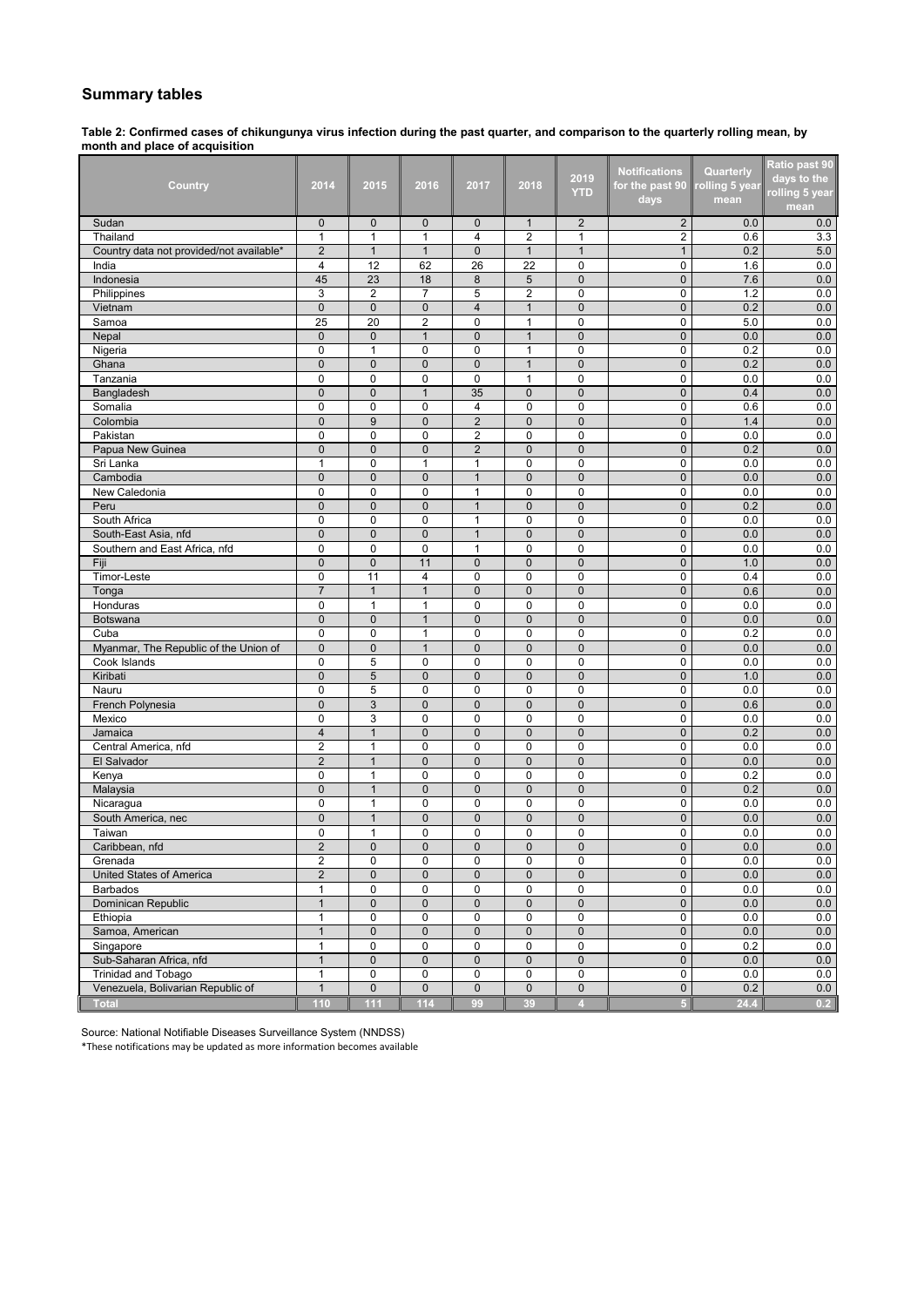## **Summary tables**

**Table 2: Confirmed cases of chikungunya virus infection during the past quarter, and comparison to the quarterly rolling mean, by month and place of acquisition**

|                                          |                             |                              |                               |                     |                            | 2019                        | <b>Notifications</b>       | Quarterly     | Ratio past 90<br>days to the |
|------------------------------------------|-----------------------------|------------------------------|-------------------------------|---------------------|----------------------------|-----------------------------|----------------------------|---------------|------------------------------|
| Country                                  | 2014                        | 2015                         | 2016                          | 2017                | 2018                       | <b>YTD</b>                  | for the past 90            | olling 5 year | rolling 5 year               |
|                                          |                             |                              |                               |                     |                            |                             | days                       | mean          | mean                         |
| Sudan                                    | $\mathbf{0}$                | $\mathbf 0$                  | $\mathbf 0$                   | 0                   | $\mathbf{1}$               | $\overline{2}$              | $\overline{2}$             | 0.0           | 0.0                          |
| Thailand                                 | $\mathbf{1}$                | $\mathbf{1}$                 | $\mathbf{1}$                  | 4                   | 2                          | $\mathbf{1}$                | 2                          | 0.6           | 3.3                          |
| Country data not provided/not available* | $\overline{2}$              | $\mathbf{1}$                 | $\mathbf{1}$                  | 0                   | $\mathbf{1}$               | $\mathbf{1}$                | $\mathbf{1}$               | 0.2           | 5.0                          |
| India                                    | 4                           | 12                           | 62                            | 26                  | 22                         | $\mathbf 0$                 | $\mathbf 0$                | 1.6           | 0.0                          |
| Indonesia                                | 45                          | 23                           | 18                            | 8                   | 5                          | $\mathbf 0$                 | $\mathbf 0$                | 7.6           | 0.0                          |
| Philippines                              | 3                           | 2                            | 7                             | 5                   | 2                          | $\mathbf 0$                 | 0                          | 1.2           | 0.0                          |
| Vietnam                                  | $\mathbf{0}$                | $\mathbf{0}$                 | $\pmb{0}$                     | $\overline{4}$      | $\mathbf{1}$               | $\mathbf{0}$                | $\mathbf 0$                | 0.2           | 0.0                          |
| Samoa                                    | 25                          | 20                           | $\overline{2}$                | 0                   | $\mathbf{1}$               | $\mathbf 0$                 | $\mathbf 0$                | 5.0           | 0.0                          |
| Nepal                                    | $\mathbf{0}$                | $\mathbf 0$                  | $\mathbf{1}$                  | $\mathbf 0$         | $\mathbf{1}$               | $\pmb{0}$                   | $\mathbf 0$                | 0.0           | 0.0                          |
| Nigeria                                  | $\mathbf 0$                 | $\mathbf{1}$                 | $\mathbf 0$                   | 0                   | $\mathbf{1}$               | 0                           | $\mathbf 0$                | 0.2           | 0.0                          |
| Ghana                                    | $\mathbf 0$                 | $\mathbf 0$                  | $\mathbf{0}$                  | 0                   | $\mathbf{1}$               | $\pmb{0}$                   | $\mathbf 0$                | 0.2           | 0.0                          |
| Tanzania                                 | $\mathbf 0$                 | 0                            | 0                             | 0                   | 1                          | 0                           | 0                          | 0.0           | 0.0                          |
| Bangladesh                               | $\mathbf 0$                 | 0                            | $\mathbf{1}$                  | 35                  | $\pmb{0}$                  | $\pmb{0}$                   | $\mathbf 0$                | 0.4           | 0.0                          |
| Somalia                                  | $\mathbf 0$<br>$\mathbf{0}$ | 0<br>9                       | 0<br>$\pmb{0}$                | 4<br>$\overline{2}$ | $\mathbf 0$                | $\mathbf 0$                 | $\mathbf 0$                | 0.6           | 0.0                          |
| Colombia<br>Pakistan                     | $\Omega$                    | 0                            | $\mathbf 0$                   | $\overline{2}$      | $\mathbf 0$<br>$\mathbf 0$ | $\mathbf 0$<br>$\mathbf 0$  | $\mathbf 0$<br>$\mathbf 0$ | 1.4<br>0.0    | 0.0<br>0.0                   |
| Papua New Guinea                         | $\mathbf 0$                 | $\mathbf{0}$                 | $\overline{0}$                | $\overline{2}$      | $\mathbf 0$                | $\mathbf 0$                 | $\mathbf 0$                | 0.2           | 0.0                          |
| Sri Lanka                                | 1                           | 0                            | $\mathbf{1}$                  | $\mathbf{1}$        | 0                          | $\mathbf 0$                 | 0                          | 0.0           | 0.0                          |
| Cambodia                                 | $\mathbf 0$                 | $\mathbf 0$                  | $\mathbf{0}$                  | $\mathbf{1}$        | $\mathbf 0$                | $\mathbf 0$                 | $\mathbf 0$                | 0.0           | 0.0                          |
| New Caledonia                            | $\mathbf 0$                 | 0                            | $\mathbf 0$                   | 1                   | 0                          | $\mathbf 0$                 | $\mathbf 0$                | 0.0           | 0.0                          |
| Peru                                     | $\mathbf 0$                 | $\mathbf 0$                  | $\mathbf{0}$                  | $\mathbf{1}$        | $\mathbf 0$                | $\mathbf 0$                 | $\mathbf 0$                | 0.2           | 0.0                          |
| South Africa                             | $\mathbf 0$                 | 0                            | $\mathbf 0$                   | $\mathbf{1}$        | $\mathbf 0$                | $\mathbf 0$                 | $\mathbf 0$                | 0.0           | 0.0                          |
| South-East Asia, nfd                     | $\overline{0}$              | $\mathbf 0$                  | $\overline{0}$                | $\mathbf{1}$        | $\mathbf 0$                | $\mathbf 0$                 | $\mathbf 0$                | 0.0           | 0.0                          |
| Southern and East Africa, nfd            | $\mathbf 0$                 | 0                            | 0                             | 1                   | 0                          | 0                           | 0                          | 0.0           | 0.0                          |
| Fiji                                     | $\mathbf 0$                 | $\mathbf{0}$                 | 11                            | $\mathbf{0}$        | $\mathbf 0$                | $\mathbf{0}$                | $\mathbf{0}$               | 1.0           | 0.0                          |
| Timor-Leste                              | $\mathbf 0$                 | 11                           | $\overline{4}$                | 0                   | $\mathbf 0$                | 0                           | $\mathbf 0$                | 0.4           | 0.0                          |
| Tonga                                    | $\overline{7}$              | $\mathbf{1}$                 | $\mathbf{1}$                  | $\mathbf 0$         | $\mathbf 0$                | $\pmb{0}$                   | $\mathbf 0$                | 0.6           | 0.0                          |
| Honduras                                 | $\mathbf 0$                 | $\mathbf{1}$                 | $\mathbf{1}$                  | 0                   | $\mathbf 0$                | $\mathbf 0$                 | $\mathbf 0$                | 0.0           | 0.0                          |
| Botswana                                 | $\mathbf{0}$                | $\mathbf{0}$                 | $\mathbf{1}$                  | $\overline{0}$      | $\mathbf{0}$               | $\mathbf 0$                 | $\mathbf{0}$               | 0.0           | 0.0                          |
| Cuba                                     | $\mathbf 0$                 | 0                            | 1                             | 0                   | $\mathbf 0$                | $\mathbf 0$                 | 0                          | 0.2           | 0.0                          |
| Myanmar, The Republic of the Union of    | $\pmb{0}$                   | $\pmb{0}$                    | $\mathbf{1}$                  | $\mathbf 0$         | $\mathbf 0$                | $\mathbf 0$                 | $\mathbf{0}$               | 0.0           | 0.0                          |
| Cook Islands                             | $\mathbf 0$                 | 5                            | 0                             | 0                   | 0                          | $\mathbf 0$                 | 0                          | 0.0           | 0.0                          |
| Kiribati                                 | $\mathbf{0}$                | 5                            | $\mathbf 0$                   | $\mathbf 0$         | $\pmb{0}$                  | $\mathbf 0$                 | $\overline{0}$             | 1.0           | 0.0                          |
| Nauru                                    | $\mathbf 0$                 | 5                            | $\mathbf 0$                   | 0                   | $\mathbf 0$                | 0                           | 0                          | 0.0           | 0.0                          |
| French Polynesia                         | $\mathbf 0$                 | 3                            | $\mathbf 0$                   | $\mathbf 0$         | $\bf 0$                    | $\mathbf 0$                 | $\mathbf 0$                | 0.6           | 0.0                          |
| Mexico                                   | 0                           | 3                            | 0                             | 0                   | 0                          | 0                           | 0                          | 0.0           | 0.0                          |
| Jamaica                                  | $\overline{4}$              | $\mathbf{1}$                 | $\mathbf 0$                   | $\overline{0}$      | $\mathbf 0$                | $\pmb{0}$                   | $\pmb{0}$                  | 0.2           | 0.0                          |
| Central America, nfd                     | $\overline{2}$              | $\mathbf{1}$                 | 0                             | 0                   | 0                          | 0                           | 0                          | 0.0           | 0.0                          |
| El Salvador                              | $\overline{2}$              | $\mathbf{1}$                 | $\mathbf 0$                   | $\mathbf{0}$        | $\mathbf{0}$               | $\mathbf{0}$                | $\mathbf 0$                | 0.0           | 0.0                          |
| Kenya                                    | $\mathbf 0$                 | $\mathbf{1}$                 | 0                             | 0                   | $\mathbf 0$                | 0                           | $\mathbf 0$                | 0.2           | 0.0                          |
| Malaysia                                 | $\mathbf{0}$                | $\mathbf{1}$                 | $\mathbf{0}$                  | $\overline{0}$      | $\mathbf{0}$               | $\mathbf 0$                 | $\mathbf 0$                | 0.2           | 0.0                          |
| Nicaragua                                | $\Omega$                    | $\mathbf{1}$                 | $\mathbf 0$                   | 0                   | $\mathbf 0$                | $\mathbf 0$                 | $\mathbf{0}$               | 0.0           | 0.0                          |
| South America, nec                       | $\mathbf 0$<br>0            | $\mathbf{1}$                 | $\overline{0}$<br>$\mathbf 0$ | $\mathbf 0$<br>0    | $\mathbf 0$<br>0           | $\mathbf 0$                 | $\mathbf 0$<br>0           | 0.0           | 0.0                          |
| Taiwan<br>Caribbean, nfd                 | $\overline{2}$              | $\mathbf{1}$<br>$\mathbf{0}$ | $\mathbf 0$                   | $\mathbf{0}$        | $\overline{0}$             | $\mathbf 0$<br>$\mathbf{0}$ | 0                          | 0.0<br>0.0    | 0.0<br>0.0                   |
| Grenada                                  |                             | 0                            | 0                             |                     | 0                          | 0                           | 0                          | 0.0           | 0.0                          |
| United States of America                 | 2<br>$\overline{2}$         | $\pmb{0}$                    | $\mathbf 0$                   | 0<br>$\mathbf 0$    | $\mathsf 0$                | $\pmb{0}$                   | $\mathbf 0$                | 0.0           | 0.0                          |
| <b>Barbados</b>                          | $\mathbf{1}$                | $\pmb{0}$                    | 0                             | $\pmb{0}$           | 0                          | $\mathbf 0$                 | 0                          | 0.0           | 0.0                          |
| Dominican Republic                       | $\mathbf{1}$                | $\pmb{0}$                    | $\pmb{0}$                     | $\mathbf 0$         | $\mathbf 0$                | $\pmb{0}$                   | $\mathsf{O}\xspace$        | 0.0           | 0.0                          |
| Ethiopia                                 | $\mathbf{1}$                | $\pmb{0}$                    | $\mathsf 0$                   | $\pmb{0}$           | 0                          | $\pmb{0}$                   | 0                          | 0.0           | 0.0                          |
| Samoa, American                          | $\mathbf{1}$                | 0                            | $\mathbf 0$                   | 0                   | $\mathbf 0$                | $\mathbf{0}$                | $\mathbf 0$                | 0.0           | 0.0                          |
| Singapore                                | $\mathbf{1}$                | 0                            | $\mathsf 0$                   | 0                   | 0                          | $\pmb{0}$                   | 0                          | 0.2           | 0.0                          |
| Sub-Saharan Africa, nfd                  | $\mathbf{1}$                | $\mathbf 0$                  | $\pmb{0}$                     | 0                   | $\pmb{0}$                  | 0                           | $\pmb{0}$                  | 0.0           | 0.0                          |
| <b>Trinidad and Tobago</b>               | $\mathbf{1}$                | 0                            | 0                             | 0                   | 0                          | 0                           | 0                          | 0.0           | 0.0                          |
| Venezuela, Bolivarian Republic of        | $\mathbf{1}$                | $\pmb{0}$                    | $\pmb{0}$                     | $\pmb{0}$           | $\overline{0}$             | $\pmb{0}$                   | $\pmb{0}$                  | 0.2           | 0.0                          |
| <b>Total</b>                             | 110                         | 111                          | 114                           | 99                  | 39                         | $\overline{4}$              | $\overline{5}$             | 24.4          | 0.2                          |

Source: National Notifiable Diseases Surveillance System (NNDSS)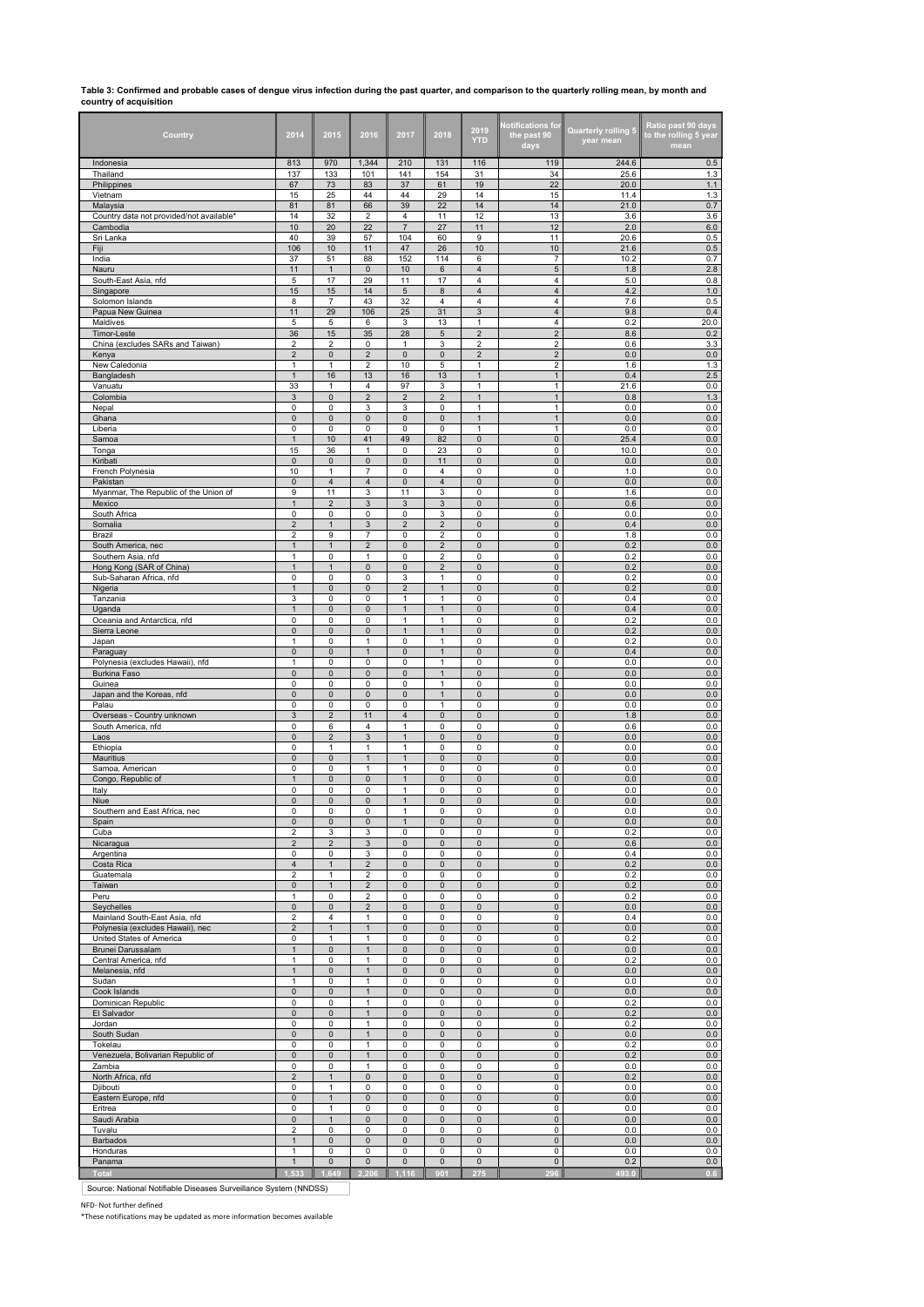# **Table 3: Confirmed and probable cases of dengue virus infection during the past quarter, and comparison to the quarterly rolling mean, by month and country of acquisition**

| Country                                              | 2014                           | 2015                         | 2016                                      | 2017                         | 2018                             | 2019<br><b>YTD</b>           | <b>Notifications for</b><br>the past 90<br>days | Quarterly rolling 5<br>year mean | Ratio past 90 days<br>to the rolling 5 year<br>mean |
|------------------------------------------------------|--------------------------------|------------------------------|-------------------------------------------|------------------------------|----------------------------------|------------------------------|-------------------------------------------------|----------------------------------|-----------------------------------------------------|
| Indonesia<br>Thailand                                | 813<br>137                     | 970<br>133                   | 1,344<br>101                              | 210<br>141                   | 131<br>154                       | 116<br>31                    | 119<br>34                                       | 244.6<br>25.6                    | 0.5<br>1.3                                          |
| Philippines                                          | 67                             | 73                           | 83                                        | 37                           | 61                               | 19                           | 22                                              | 20.0                             | 1.1                                                 |
| Vietnam                                              | 15<br>81                       | 25                           | 44<br>66                                  | 44<br>39                     | 29<br>22                         | 14<br>14                     | 15<br>14                                        | 11.4<br>21.0                     | 1.3<br>0.7                                          |
| Malaysia<br>Country data not provided/not available* | 14                             | 81<br>32                     | $\overline{2}$                            | 4                            | 11                               | 12                           | 13                                              | 3.6                              | 3.6                                                 |
| Cambodia                                             | 10                             | 20                           | 22                                        | $\overline{7}$               | 27                               | 11                           | 12                                              | 2.0                              | 6.0                                                 |
| Sri Lanka<br>Fiji                                    | 40<br>106                      | 39<br>10                     | 57<br>11                                  | 104<br>47                    | 60<br>26                         | 9<br>10                      | 11<br>10                                        | 20.6<br>21.6                     | 0.5<br>0.5                                          |
| India                                                | 37                             | 51                           | 88                                        | 152                          | 114                              | 6                            | 7                                               | 10.2                             | 0.7                                                 |
| Nauru                                                | 11                             | $\mathbf{1}$                 | $\mathbf 0$                               | 10                           | 6                                | $\overline{4}$               | 5                                               | 1.8                              | 2.8                                                 |
| South-East Asia, nfd<br>Singapore                    | 5<br>15                        | 17<br>15                     | 29<br>14                                  | 11<br>$\sqrt{5}$             | 17<br>$\bf 8$                    | 4<br>4                       | 4<br>4                                          | 5.0<br>4.2                       | 0.8<br>$1.0$                                        |
| Solomon Islands                                      | 8                              | 7                            | 43                                        | 32                           | 4                                | 4                            | 4                                               | 7.6                              | 0.5                                                 |
| Papua New Guinea                                     | 11                             | 29                           | 106                                       | 25                           | 31                               | $\ensuremath{\mathsf{3}}$    | $\overline{4}$<br>4                             | 9.8                              | 0.4                                                 |
| Maldives<br>Timor-Leste                              | 5<br>36                        | 5<br>15                      | 6<br>35                                   | 3<br>28                      | 13<br>5                          | 1<br>$\overline{\mathbf{c}}$ | $\overline{2}$                                  | 0.2<br>8.6                       | 20.0<br>0.2                                         |
| China (excludes SARs and Taiwan)                     | 2                              | 2                            | 0                                         | $\mathbf{1}$                 | 3                                | 2                            | 2                                               | 0.6                              | 3.3                                                 |
| Kenya<br>New Caledonia                               | 2<br>1                         | $\pmb{0}$<br>1               | $\overline{\mathbf{c}}$<br>$\overline{2}$ | $\pmb{0}$<br>10              | $\pmb{0}$<br>5                   | $\overline{\mathbf{c}}$<br>1 | $\overline{\mathbf{c}}$<br>2                    | 0.0<br>1.6                       | $0.0\,$<br>1.3                                      |
| Bangladesh                                           | $\mathbf{1}$                   | 16                           | 13                                        | 16                           | 13                               | $\mathbf{1}$                 | $\mathbf{1}$                                    | 0.4                              | 2.5                                                 |
| Vanuatu                                              | 33                             | $\mathbf{1}$                 | $\overline{4}$                            | 97                           | 3                                | 1                            | 1                                               | 21.6                             | 0.0                                                 |
| Colombia<br>Nepal                                    | 3<br>0                         | $\mathbf 0$<br>0             | $\overline{2}$<br>3                       | $\overline{2}$<br>3          | $\overline{2}$<br>0              | $\mathbf{1}$<br>1            | $\mathbf{1}$<br>$\mathbf{1}$                    | 0.8<br>0.0                       | $1.3$<br>0.0                                        |
| Ghana                                                | 0                              | $\mathbf 0$                  | $\mathbf 0$                               | $\mathbf 0$                  | $\mathbf 0$                      | $\mathbf{1}$                 | $\mathbf{1}$                                    | 0.0                              | $0.0\,$                                             |
| Liberia<br>Samoa                                     | 0<br>$\mathbf{1}$              | 0<br>10                      | 0<br>41                                   | $\pmb{0}$<br>49              | $\mathsf 0$<br>82                | 1<br>$\mathsf 0$             | 1<br>$\pmb{0}$                                  | 0.0                              | 0.0<br>0.0                                          |
| Tonga                                                | 15                             | 36                           | $\mathbf{1}$                              | $\pmb{0}$                    | 23                               | 0                            | 0                                               | 25.4<br>10.0                     | 0.0                                                 |
| Kiribati                                             | $\pmb{0}$                      | $\mathsf{O}\xspace$          | $\pmb{0}$                                 | $\pmb{0}$                    | 11                               | $\mathbf 0$                  | $\mathsf{O}$                                    | 0.0                              | $0.0\,$                                             |
| French Polynesia<br>Pakistan                         | 10<br>0                        | 1<br>4                       | $\overline{7}$<br>4                       | 0<br>$\pmb{0}$               | $\overline{4}$<br>$\overline{4}$ | 0<br>0                       | 0<br>$\mathbf 0$                                | 1.0<br>0.0                       | 0.0<br>$0.0\,$                                      |
| Myanmar, The Republic of the Union of                | 9                              | 11                           | 3                                         | 11                           | 3                                | 0                            | 0                                               | 1.6                              | 0.0                                                 |
| Mexico                                               | $\overline{1}$                 | $\overline{2}$               | 3                                         | $\mathbf{3}$                 | 3                                | $\mathbf 0$                  | $\pmb{0}$                                       | 0.6                              | $0.0\,$                                             |
| South Africa<br>Somalia                              | 0<br>2                         | 0<br>$\mathbf{1}$            | 0<br>$\mathsf 3$                          | 0<br>$\overline{\mathbf{c}}$ | 3<br>$\mathbf 2$                 | 0<br>$\pmb{0}$               | 0<br>$\pmb{0}$                                  | 0.0<br>0.4                       | 0.0<br>$0.0\,$                                      |
| Brazil                                               | 2                              | 9                            | $\overline{7}$                            | 0                            | $\overline{2}$                   | 0                            | 0                                               | 1.8                              | 0.0                                                 |
| South America, nec                                   | $\overline{1}$<br>$\mathbf{1}$ | 0                            | $\overline{2}$<br>$\mathbf{1}$            | 0<br>$\pmb{0}$               | $\overline{c}$<br>$\overline{2}$ | $\mathsf 0$<br>$\pmb{0}$     | $\mathsf 0$<br>$\mathsf 0$                      | 0.2                              | $0.0\,$                                             |
| Southern Asia, nfd<br>Hong Kong (SAR of China)       | 1                              | $\mathbf{1}$                 | $\mathsf{O}\xspace$                       | $\mathsf{O}\xspace$          | $\overline{2}$                   | $\mathbf 0$                  | $\mathbf 0$                                     | 0.2<br>0.2                       | 0.0<br>0.0                                          |
| Sub-Saharan Africa, nfd                              | 0                              | 0                            | 0                                         | 3                            | 1                                | 0                            | 0                                               | 0.2                              | 0.0                                                 |
| Nigeria<br>Tanzania                                  | $\mathbf{1}$<br>3              | 0<br>0                       | $\mathbf 0$<br>0                          | $\overline{2}$<br>1          | $\mathbf{1}$<br>1                | $\mathsf 0$<br>0             | 0<br>0                                          | 0.2<br>0.4                       | 0.0<br>0.0                                          |
| Uganda                                               | $\mathbf{1}$                   | $\mathbf 0$                  | $\mathbf 0$                               | $\mathbf{1}$                 | $\mathbf{1}$                     | $\bf 0$                      | $\mathbf 0$                                     | 0.4                              | 0.0                                                 |
| Oceania and Antarctica, nfd                          | 0                              | 0                            | 0                                         | $\mathbf{1}$                 | 1                                | 0                            | 0                                               | 0.2                              | 0.0                                                 |
| Sierra Leone<br>Japan                                | $\pmb{0}$<br>1                 | $\mathsf 0$<br>0             | $\mathbf 0$<br>1                          | $\mathbf{1}$<br>$\pmb{0}$    | $\mathbf{1}$<br>1                | $\pmb{0}$<br>0               | $\pmb{0}$<br>0                                  | 0.2<br>0.2                       | $0.0\,$<br>0.0                                      |
| Paraguay                                             | 0                              | $\mathbf{0}$                 | $\mathbf{1}$                              | $\pmb{0}$                    | $\mathbf{1}$                     | $\pmb{0}$                    | 0                                               | 0.4                              | $0.0\,$                                             |
| Polynesia (excludes Hawaii), nfd                     | 1<br>$\pmb{0}$                 | 0                            | 0<br>$\pmb{0}$                            | 0<br>$\pmb{0}$               | 1                                | 0<br>$\pmb{0}$               | 0<br>$\pmb{0}$                                  | 0.0<br>0.0                       | 0.0<br>$0.0\,$                                      |
| Burkina Faso<br>Guinea                               | 0                              | 0<br>0                       | 0                                         | 0                            | $\mathbf{1}$<br>$\mathbf{1}$     | 0                            | 0                                               | 0.0                              | 0.0                                                 |
| Japan and the Koreas, nfd                            | 0                              | $\mathsf 0$                  | $\pmb{0}$                                 | $\pmb{0}$                    | $\mathbf{1}$                     | $\pmb{0}$                    | $\pmb{0}$                                       | 0.0                              | $0.0\,$                                             |
| Palau<br>Overseas - Country unknown                  | 0<br>3                         | 0<br>$\overline{\mathbf{c}}$ | 0<br>11                                   | 0<br>$\overline{\mathbf{4}}$ | $\mathbf{1}$<br>$\mathbf 0$      | 0<br>$\pmb{0}$               | 0<br>$\mathsf{O}\xspace$                        | 0.0<br>1.8                       | 0.0<br>$0.0\,$                                      |
| South America, nfd                                   | 0                              | 6                            | $\overline{4}$                            | $\mathbf{1}$                 | 0                                | 0                            | 0                                               | 0.6                              | 0.0                                                 |
| Laos                                                 | 0<br>0                         | $\overline{2}$<br>1          | 3<br>$\mathbf{1}$                         | $\mathbf{1}$<br>1            | $\mathsf 0$<br>0                 | 0<br>0                       | $\pmb{0}$<br>0                                  | 0.0                              | $0.0\,$<br>0.0                                      |
| Ethiopia<br>Mauritius                                | 0                              | $\mathbf 0$                  | $\mathbf{1}$                              | $\mathbf{1}$                 | $\mathsf 0$                      | $\pmb{0}$                    | $\mathbf 0$                                     | 0.0<br>0.0                       | 0.0                                                 |
| Samoa, American                                      | 0                              | 0                            | $\mathbf{1}$                              | $\mathbf{1}$                 | $\pmb{0}$                        | 0                            | 0                                               | 0.0                              | 0.0                                                 |
| Congo, Republic of<br>Italy                          | 1<br>0                         | $\pmb{0}$<br>0               | $\mathbf 0$<br>0                          | $\mathbf{1}$<br>1            | 0<br>0                           | $\pmb{0}$<br>0               | 0<br>0                                          | 0.0<br>0.0                       | 0.0<br>0.0                                          |
| Niue                                                 | 0                              | 0                            | $\pmb{0}$                                 | $\mathbf{1}$                 | $\mathbf 0$                      | $\pmb{0}$                    | 0                                               | 0.0                              | 0.0                                                 |
| Southern and East Africa,                            |                                |                              |                                           |                              |                                  |                              | 0                                               | 0.0                              | 0.0                                                 |
| Spain<br>Cuba                                        | 0<br>2                         | 0<br>3                       | $\pmb{0}$<br>3                            | 1<br>$\mathsf 0$             | $\pmb{0}$<br>0                   | 0<br>0                       | 0<br>$\mathsf{o}\,$                             | $0.0\,$<br>0.2                   | 0.0<br>0.0                                          |
| Nicaragua                                            | $\overline{2}$                 | $\overline{2}$               | $\ensuremath{\mathsf{3}}$                 | $\pmb{0}$                    | $\mathbf 0$                      | 0                            | 0                                               | 0.6                              | 0.0                                                 |
| Argentina<br>Costa Rica                              | 0<br>4                         | 0<br>$\mathbf{1}$            | 3<br>$\sqrt{2}$                           | 0<br>$\pmb{0}$               | 0<br>$\pmb{0}$                   | 0<br>0                       | 0<br>$\mathsf{O}\xspace$                        | 0.4<br>0.2                       | 0.0<br>0.0                                          |
| Guatemala                                            | $\overline{\mathbf{c}}$        | $\mathbf{1}$                 | $\overline{2}$                            | 0                            | 0                                | 0                            | 0                                               | 0.2                              | 0.0                                                 |
| Taiwan                                               | 0                              | $\mathbf{1}$                 | $\overline{\mathbf{c}}$                   | $\pmb{0}$                    | $\pmb{0}$                        | $\pmb{0}$                    | $\pmb{0}$                                       | 0.2                              | $0.0\,$                                             |
| Peru<br>Seychelles                                   | 1<br>0                         | $\mathbf 0$<br>0             | $\overline{2}$<br>$\overline{2}$          | $\mathbf 0$<br>$\pmb{0}$     | $\mathbf 0$<br>0                 | $\mathbf 0$<br>$\pmb{0}$     | $\mathsf{O}$<br>$\mathsf{O}\xspace$             | 0.2<br>0.0                       | 0.0<br>0.0                                          |
| Mainland South-East Asia, nfd                        | $\overline{\mathbf{c}}$        | 4                            | $\mathbf{1}$                              | 0                            | 0                                | 0                            | 0                                               | 0.4                              | 0.0                                                 |
| Polynesia (excludes Hawaii), nec                     | $\overline{2}$                 | $\mathbf{1}$                 | $\mathbf{1}$                              | $\pmb{0}$                    | $\mathbf 0$                      | $\pmb{0}$                    | $\mathsf{O}\xspace$                             | 0.0                              | 0.0                                                 |
| United States of America<br>Brunei Darussalam        | 0<br>$\mathbf{1}$              | 1<br>$\mathbf 0$             | $\mathbf{1}$<br>$\mathbf{1}$              | $\pmb{0}$<br>$\pmb{0}$       | $\pmb{0}$<br>$\mathbf 0$         | 0<br>$\mathsf 0$             | 0<br>$\mathbf 0$                                | 0.2<br>0.0                       | 0.0<br>0.0                                          |
| Central America, nfd                                 | $\mathbf{1}$                   | 0                            | $\mathbf{1}$                              | $\pmb{0}$                    | $\pmb{0}$                        | 0                            | 0                                               | 0.2                              | 0.0                                                 |
| Melanesia, nfd<br>Sudan                              | $\overline{1}$<br>$\mathbf{1}$ | $\mathbf 0$<br>0             | $\mathbf{1}$<br>$\mathbf{1}$              | $\pmb{0}$<br>0               | $\pmb{0}$<br>0                   | $\mathsf 0$<br>0             | 0<br>$\mathsf{O}\xspace$                        | 0.0<br>0.0                       | 0.0<br>0.0                                          |
| Cook Islands                                         | $\pmb{0}$                      | $\mathsf{O}\xspace$          | $\mathbf{1}$                              | $\pmb{0}$                    | $\mathsf{O}$                     | $\pmb{0}$                    | $\mathsf{O}\xspace$                             | $0.0\,$                          | 0.0                                                 |
| Dominican Republic                                   | 0                              | 0                            | $\mathbf{1}$                              | 0                            | 0                                | 0                            | 0                                               | 0.2                              | 0.0                                                 |
| El Salvador<br>Jordan                                | 0<br>0                         | 0<br>0                       | $\mathbf{1}$<br>1                         | $\pmb{0}$<br>0               | $\pmb{0}$<br>0                   | 0<br>0                       | $\pmb{0}$<br>$\mathbf{0}$                       | $0.2\,$<br>0.2                   | 0.0<br>0.0                                          |
| South Sudan                                          | 0                              | 0                            | $\mathbf{1}$                              | $\pmb{0}$                    | $\pmb{0}$                        | $\pmb{0}$                    | $\mathsf{O}\xspace$                             | 0.0                              | 0.0                                                 |
| Tokelau                                              | 0                              | 0                            | $\mathbf{1}$                              | $\pmb{0}$                    | 0                                | 0                            | 0                                               | 0.2                              | 0.0                                                 |
| Venezuela, Bolivarian Republic of<br>Zambia          | 0<br>0                         | 0<br>$\mathbf 0$             | $\mathbf{1}$<br>$\mathbf{1}$              | $\pmb{0}$<br>$\pmb{0}$       | $\pmb{0}$<br>$\mathbf 0$         | $\pmb{0}$<br>0               | $\mathsf{O}\xspace$<br>$\mathsf 0$              | 0.2<br>0.0                       | 0.0<br>0.0                                          |
| North Africa, nfd                                    | $\overline{\mathbf{c}}$        | $\mathbf{1}$                 | $\pmb{0}$                                 | $\pmb{0}$                    | $\pmb{0}$                        | $\pmb{0}$                    | 0                                               | 0.2                              | $0.0\,$                                             |
| Djibouti<br>Eastern Europe, nfd                      | 0<br>$\mathsf{O}\xspace$       | 1<br>$\mathbf{1}$            | 0<br>$\mathsf{O}\xspace$                  | 0<br>$\mathsf{O}\xspace$     | 0<br>$\mathsf{O}\xspace$         | 0<br>$\pmb{0}$               | 0<br>$\mathsf{O}\xspace$                        | 0.0<br>0.0                       | 0.0<br>0.0                                          |
| Eritrea                                              | 0                              | 1                            | 0                                         | 0                            | 0                                | 0                            | 0                                               | 0.0                              | 0.0                                                 |
| Saudi Arabia                                         | 0                              | $\mathbf{1}$                 | $\pmb{0}$                                 | 0                            | 0                                | $\mathsf 0$                  | $\mathbf 0$                                     | 0.0                              | 0.0                                                 |
| Tuvalu<br>Barbados                                   | 2<br>$\mathbf{1}$              | 0<br>$\mathbf 0$             | $\pmb{0}$<br>$\mathsf{O}\xspace$          | 0<br>$\pmb{0}$               | 0<br>$\mathsf{O}\xspace$         | 0<br>$\mathsf 0$             | 0<br>$\mathsf{O}\xspace$                        | 0.0<br>0.0                       | 0.0<br>0.0                                          |
| Honduras                                             | $\mathbf{1}$                   | 0                            | $\pmb{0}$                                 | $\pmb{0}$                    | $\pmb{0}$                        | 0                            | 0                                               | 0.0                              | 0.0                                                 |
| Panama                                               | $\mathbf{1}$                   | 0                            | $\bf 0$                                   | $\pmb{0}$                    | $\pmb{0}$                        | $\mathsf 0$                  | $\mathbf 0$                                     | 0.2                              | 0.0                                                 |
| <b>Total</b>                                         | 1.533                          | 1.649                        | 2.206                                     | 1.116                        | 901                              | 275                          | 296                                             | 493.0                            | 0.6                                                 |

Source: National Notifiable Diseases Surveillance System (NNDSS)

 $\mathcal{A}$ 

NFD- Not further defined \*These notifications may be updated as more information becomes available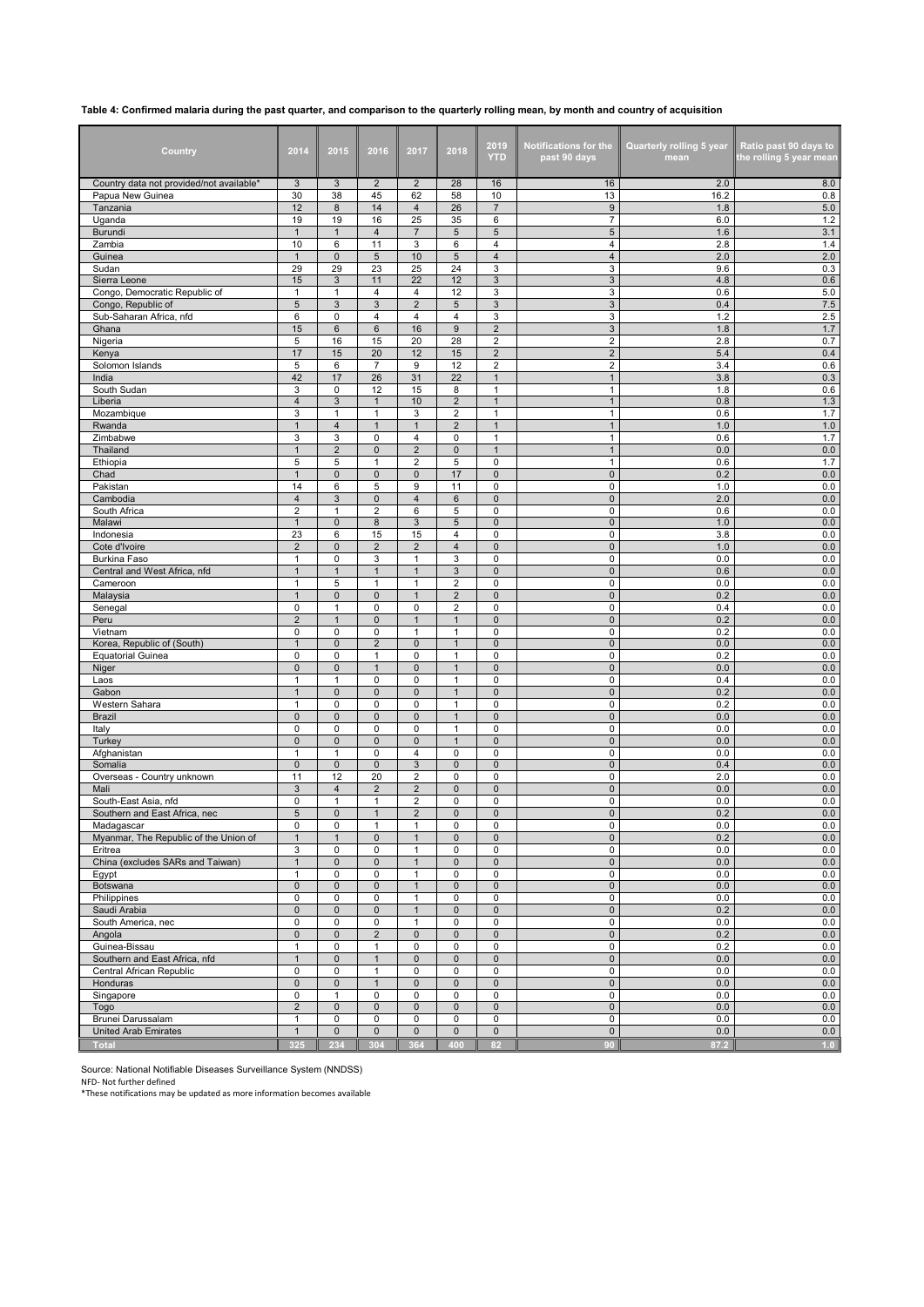## **Table 4: Confirmed malaria during the past quarter, and comparison to the quarterly rolling mean, by month and country of acquisition**

| Country                                       | 2014                          | 2015                     | 2016                         | 2017                         | 2018                         | 2019<br><b>YTD</b>                 | <b>Notifications for the</b><br>past 90 days | <b>Quarterly rolling 5 year</b><br>mean | Ratio past 90 days to<br>the rolling 5 year mean |
|-----------------------------------------------|-------------------------------|--------------------------|------------------------------|------------------------------|------------------------------|------------------------------------|----------------------------------------------|-----------------------------------------|--------------------------------------------------|
| Country data not provided/not available*      | 3                             | 3                        | $\overline{2}$               | $\overline{2}$               | 28                           | 16                                 | 16                                           | 2.0                                     | 8.0                                              |
| Papua New Guinea<br>Tanzania                  | 30<br>12                      | 38<br>8                  | 45<br>14                     | 62<br>4                      | 58<br>26                     | 10<br>$\overline{7}$               | 13<br>9                                      | 16.2<br>1.8                             | 0.8<br>5.0                                       |
| Uganda                                        | 19                            | 19                       | 16                           | 25                           | 35                           | 6                                  | $\overline{7}$                               | 6.0                                     | 1.2                                              |
| Burundi                                       | $\mathbf{1}$                  | $\mathbf{1}$             | $\overline{4}$               | $\overline{7}$               | 5                            | $\sqrt{5}$                         | $\,$ 5 $\,$                                  | 1.6                                     | 3.1                                              |
| Zambia<br>Guinea                              | 10<br>$\mathbf{1}$            | 6<br>$\pmb{0}$           | 11<br>$\sqrt{5}$             | 3<br>10                      | 6<br>5                       | 4<br>$\overline{4}$                | 4<br>$\overline{4}$                          | 2.8<br>2.0                              | 1.4<br>2.0                                       |
| Sudan                                         | 29                            | 29                       | 23                           | 25                           | 24                           | 3                                  | 3                                            | 9.6                                     | 0.3                                              |
| Sierra Leone                                  | 15                            | 3                        | 11                           | 22                           | 12                           | 3                                  | 3                                            | 4.8                                     | 0.6                                              |
| Congo, Democratic Republic of                 | $\mathbf{1}$                  | 1                        | $\overline{4}$               | 4                            | 12                           | 3                                  | 3                                            | 0.6                                     | 5.0                                              |
| Congo, Republic of<br>Sub-Saharan Africa, nfd | 5<br>6                        | 3<br>0                   | 3<br>$\overline{4}$          | $\overline{2}$<br>4          | 5<br>4                       | $\mathbf{3}$<br>3                  | $\mathbf{3}$<br>3                            | 0.4<br>1.2                              | $7.5\,$<br>2.5                                   |
| Ghana                                         | 15                            | 6                        | $6\phantom{1}6$              | 16                           | 9                            | $\overline{2}$                     | 3                                            | 1.8                                     | 1.7                                              |
| Nigeria                                       | 5                             | 16                       | 15                           | 20                           | 28                           | $\overline{2}$                     | $\overline{2}$                               | 2.8                                     | 0.7                                              |
| Kenya                                         | 17                            | 15                       | 20                           | 12                           | 15                           | $\overline{2}$                     | $\overline{2}$                               | 5.4                                     | 0.4                                              |
| Solomon Islands<br>India                      | 5<br>42                       | 6<br>17                  | $\overline{7}$<br>26         | 9<br>31                      | 12<br>22                     | $\overline{2}$<br>$\mathbf{1}$     | $\overline{2}$<br>$\mathbf{1}$               | 3.4<br>3.8                              | 0.6<br>0.3                                       |
| South Sudan                                   | 3                             | 0                        | 12                           | 15                           | 8                            | $\mathbf{1}$                       | $\mathbf{1}$                                 | 1.8                                     | 0.6                                              |
| Liberia                                       | $\overline{4}$                | 3                        | $\mathbf{1}$                 | 10                           | $\overline{2}$               | $\mathbf{1}$                       | $\mathbf{1}$                                 | 0.8                                     | 1.3                                              |
| Mozambique                                    | 3                             | 1                        | $\mathbf{1}$                 | 3                            | $\overline{\mathbf{c}}$      | $\mathbf{1}$                       | $\mathbf{1}$                                 | 0.6                                     | 1.7                                              |
| Rwanda<br>Zimbabwe                            | $\mathbf{1}$<br>3             | $\overline{4}$<br>3      | $\mathbf{1}$<br>0            | $\mathbf{1}$<br>4            | $\overline{2}$<br>0          | $\mathbf{1}$<br>1                  | $\mathbf{1}$<br>$\mathbf{1}$                 | 1.0<br>0.6                              | 1.0<br>1.7                                       |
| Thailand                                      | $\mathbf{1}$                  | $\overline{2}$           | $\pmb{0}$                    | $\overline{2}$               | 0                            | $\mathbf{1}$                       | $\mathbf{1}$                                 | 0.0                                     | 0.0                                              |
| Ethiopia                                      | 5                             | 5                        | $\mathbf{1}$                 | $\overline{\mathbf{c}}$      | 5                            | 0                                  | $\mathbf{1}$                                 | 0.6                                     | 1.7                                              |
| Chad                                          | $\mathbf{1}$                  | $\mathbf{0}$             | $\mathbf 0$                  | 0                            | 17                           | $\mathsf 0$                        | $\mathsf{O}\xspace$                          | 0.2                                     | 0.0                                              |
| Pakistan<br>Cambodia                          | 14<br>$\overline{\mathbf{4}}$ | 6<br>3                   | 5<br>$\mathsf 0$             | 9<br>4                       | 11<br>6                      | 0<br>0                             | 0<br>$\mathsf{O}\xspace$                     | 1.0<br>2.0                              | 0.0<br>0.0                                       |
| South Africa                                  | $\overline{2}$                | $\mathbf{1}$             | $\overline{2}$               | 6                            | 5                            | 0                                  | 0                                            | 0.6                                     | 0.0                                              |
| Malawi                                        | $\mathbf{1}$                  | 0                        | 8                            | 3                            | 5                            | $\mathsf 0$                        | $\mathbf 0$                                  | 1.0                                     | 0.0                                              |
| Indonesia                                     | 23                            | 6                        | 15                           | 15                           | 4                            | 0                                  | $\mathbf 0$                                  | 3.8                                     | 0.0                                              |
| Cote d'Ivoire                                 | $\overline{2}$<br>1           | $\mathbf{0}$<br>0        | 2                            | $\overline{2}$<br>1          | $\overline{4}$<br>3          | $\mathbf 0$<br>0                   | $\mathbf 0$<br>0                             | 1.0<br>0.0                              | 0.0<br>0.0                                       |
| Burkina Faso<br>Central and West Africa, nfd  | $\mathbf{1}$                  | 1                        | 3<br>$\mathbf{1}$            | $\mathbf{1}$                 | 3                            | 0                                  | $\mathsf{O}\xspace$                          | 0.6                                     | 0.0                                              |
| Cameroon                                      | $\mathbf{1}$                  | 5                        | $\mathbf{1}$                 | $\mathbf{1}$                 | $\overline{c}$               | 0                                  | $\mathbf 0$                                  | 0.0                                     | 0.0                                              |
| Malaysia                                      | $\mathbf{1}$                  | $\mathbf{0}$             | $\pmb{0}$                    | $\mathbf{1}$                 | $\overline{\mathbf{c}}$      | $\mathsf 0$                        | $\mathsf{O}\xspace$                          | 0.2                                     | 0.0                                              |
| Senegal<br>Peru                               | 0<br>$\overline{\mathbf{c}}$  | 1<br>$\mathbf{1}$        | 0<br>$\mathsf 0$             | 0<br>$\mathbf{1}$            | 2<br>$\mathbf{1}$            | $\mathbf 0$<br>0                   | 0<br>$\mathsf{O}\xspace$                     | 0.4<br>0.2                              | 0.0<br>0.0                                       |
| Vietnam                                       | 0                             | $\mathbf 0$              | $\mathbf 0$                  | $\mathbf{1}$                 | $\mathbf{1}$                 | 0                                  | 0                                            | 0.2                                     | 0.0                                              |
| Korea, Republic of (South)                    | $\mathbf{1}$                  | $\mathbf{0}$             | $\overline{2}$               | $\mathbf 0$                  | $\mathbf{1}$                 | $\mathsf 0$                        | $\mathbf 0$                                  | 0.0                                     | 0.0                                              |
| <b>Equatorial Guinea</b>                      | $\mathbf 0$                   | 0                        | $\mathbf{1}$                 | 0                            | 1                            | 0                                  | $\mathbf 0$                                  | 0.2                                     | 0.0                                              |
| Niger<br>Laos                                 | $\mathbf 0$<br>$\mathbf{1}$   | $\mathbf{0}$<br>1        | $\mathbf{1}$<br>0            | $\pmb{0}$<br>0               | $\mathbf{1}$<br>1            | $\mathbf 0$<br>0                   | $\mathsf{O}\xspace$<br>0                     | 0.0<br>0.4                              | 0.0<br>0.0                                       |
| Gabon                                         | $\mathbf{1}$                  | $\pmb{0}$                | $\mathbf 0$                  | 0                            | $\mathbf{1}$                 | 0                                  | $\mathsf{O}\xspace$                          | 0.2                                     | 0.0                                              |
| Western Sahara                                | $\mathbf{1}$                  | 0                        | $\mathbf 0$                  | 0                            | 1                            | 0                                  | $\mathbf 0$                                  | 0.2                                     | 0.0                                              |
| <b>Brazil</b>                                 | $\pmb{0}$                     | $\mathbf{0}$             | $\mathbf 0$                  | $\mathbf 0$                  | $\mathbf{1}$                 | $\mathbf 0$                        | $\mathsf{O}\xspace$                          | 0.0                                     | $0.0\,$                                          |
| Italy<br>Turkey                               | $\mathbf 0$<br>$\mathsf 0$    | $\mathbf 0$<br>$\pmb{0}$ | $\mathbf 0$<br>$\mathsf 0$   | 0<br>$\mathbf 0$             | $\mathbf{1}$<br>$\mathbf{1}$ | 0<br>$\mathbf 0$                   | 0<br>$\mathsf{O}\xspace$                     | 0.0<br>0.0                              | 0.0<br>0.0                                       |
| Afghanistan                                   | $\mathbf{1}$                  | $\mathbf{1}$             | $\mathbf 0$                  | 4                            | 0                            | 0                                  | 0                                            | 0.0                                     | 0.0                                              |
| Somalia                                       | $\mathbf 0$                   | $\mathbf 0$              | $\mathbf 0$                  | 3                            | 0                            | $\mathsf 0$                        | $\mathbf 0$                                  | 0.4                                     | 0.0                                              |
| Overseas - Country unknown                    | 11                            | 12                       | 20                           | $\overline{\mathbf{c}}$      | 0                            | 0                                  | 0                                            | 2.0                                     | 0.0                                              |
| Mali<br>South-East Asia, nfd                  | 3<br>0                        | $\overline{4}$<br>1      | $\overline{2}$<br>1          | $\overline{2}$<br>2          | 0<br>0                       | $\mathbf 0$<br>0                   | $\mathsf{O}\xspace$<br>0                     | 0.0<br>0.0                              | 0.0<br>0.0                                       |
| Southern and East Africa, nec                 | 5                             | $\mathbf{0}$             | $\overline{1}$               | $\overline{2}$               | $\mathbf{0}$                 | 0                                  | $\mathbf 0$                                  | 0.2                                     | 0.0                                              |
| Madagascar                                    | 0                             | 0                        | 1                            | 1                            | 0                            | 0                                  | 0                                            | 0.0                                     | 0.0                                              |
| Myanmar, The Republic of the Union of         | $\mathbf{1}$                  | $\mathbf{1}$             | $\mathbf 0$                  | $\mathbf{1}$                 | 0                            | $\mathsf 0$                        | $\mathsf{O}\xspace$                          | 0.2                                     | 0.0                                              |
| Eritrea<br>China (excludes SARs and Taiwan)   | 3<br>$\mathbf{1}$             | $\mathsf 0$<br>0         | 0<br>$\pmb{0}$               | $\mathbf{1}$<br>$\mathbf{1}$ | 0<br>0                       | $\mathsf 0$<br>$\mathsf{O}\xspace$ | 0<br>$\mathbf 0$                             | 0.0<br>0.0                              | 0.0<br>0.0                                       |
| Egypt                                         | $\mathbf{1}$                  | $\mathbf 0$              | $\mathbf 0$                  | $\mathbf{1}$                 | 0                            | 0                                  | 0                                            | 0.0                                     | 0.0                                              |
| Botswana                                      | $\mathsf 0$                   | $\pmb{0}$                | $\mathbf 0$                  | $\mathbf{1}$                 | $\mathsf 0$                  | $\mathsf 0$                        | $\mathbf 0$                                  | 0.0                                     | 0.0                                              |
| Philippines                                   | $\mathbf 0$                   | 0                        | $\mathsf 0$                  | $\mathbf{1}$                 | 0                            | 0                                  | $\mathbf 0$                                  | 0.0                                     | 0.0                                              |
| Saudi Arabia<br>South America, nec            | $\mathsf 0$<br>0              | $\pmb{0}$<br>0           | $\mathbf 0$<br>0             | $\mathbf{1}$<br>$\mathbf{1}$ | $\mathsf 0$<br>0             | $\mathsf{O}\xspace$<br>0           | $\mathbf 0$<br>0                             | 0.2<br>0.0                              | 0.0<br>0.0                                       |
| Angola                                        | $\pmb{0}$                     | $\pmb{0}$                | $\sqrt{2}$                   | $\pmb{0}$                    | $\mathsf 0$                  | $\mathsf 0$                        | $\mathbf 0$                                  | 0.2                                     | 0.0                                              |
| Guinea-Bissau                                 | $\mathbf{1}$                  | 0                        | $\mathbf{1}$                 | 0                            | 0                            | $\mathsf 0$                        | $\mathbf 0$                                  | 0.2                                     | 0.0                                              |
| Southern and East Africa, nfd                 | $\mathbf{1}$                  | $\pmb{0}$                | $\mathbf{1}$                 | $\mathbf 0$                  | 0                            | $\mathsf 0$                        | $\mathsf{O}\xspace$                          | 0.0                                     | $0.0\,$                                          |
| Central African Republic<br>Honduras          | 0<br>$\mathsf 0$              | $\mathbf 0$<br>0         | $\mathbf{1}$<br>$\mathbf{1}$ | 0<br>0                       | 0<br>0                       | $\mathsf 0$<br>$\pmb{0}$           | 0<br>$\mathbf 0$                             | 0.0<br>0.0                              | 0.0<br>0.0                                       |
| Singapore                                     | 0                             | $\mathbf{1}$             | $\mathbf 0$                  | 0                            | 0                            | 0                                  | 0                                            | 0.0                                     | 0.0                                              |
| Togo                                          | $\overline{2}$                | $\mathbf 0$              | $\mathsf 0$                  | $\pmb{0}$                    | 0                            | $\mathsf{O}\xspace$                | $\mathbf 0$                                  | 0.0                                     | 0.0                                              |
| Brunei Darussalam                             | $\mathbf{1}$                  | 0                        | $\mathsf 0$                  | 0                            | 0                            | 0                                  | $\mathbf 0$                                  | 0.0                                     | 0.0                                              |
| <b>United Arab Emirates</b>                   | $\mathbf{1}$                  | $\pmb{0}$                | $\mathbf 0$                  | $\mathsf 0$                  | $\mathsf 0$                  | $\mathsf 0$                        | $\mathsf{O}\xspace$                          | 0.0                                     | 0.0                                              |
| <b>Total</b>                                  | 325                           | 234                      | 304                          | 364                          | 400                          | 82                                 | 90                                           | 87.2                                    | 1.0                                              |

Source: National Notifiable Diseases Surveillance System (NNDSS) NFD- Not further defined